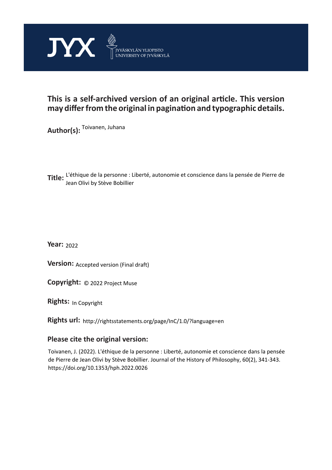

## **This is a self-archived version of an original article. This version may differ from the original in pagination and typographic details.**

**Author(s):**  Toivanen, Juhana

**Title:**  L'éthique de la personne : Liberté, autonomie et conscience dans la pensée de Pierre de Jean Olivi by Stève Bobillier

**Year:**  2022

**Version: Accepted version (Final draft)** 

**Version:** Accepted version (Final draft)<br>**Copyright:** © 2022 Project Muse

**Rights:** In Copyright

**Rights url:**  http://rightsstatements.org/page/InC/1.0/?language=en

## **Please cite the original version:**

Toivanen, J. (2022). L'éthique de la personne : Liberté, autonomie et conscience dans la pensée de Pierre de Jean Olivi by Stève Bobillier. Journal of the History of Philosophy, 60(2), 341-343. https://doi.org/10.1353/hph.2022.0026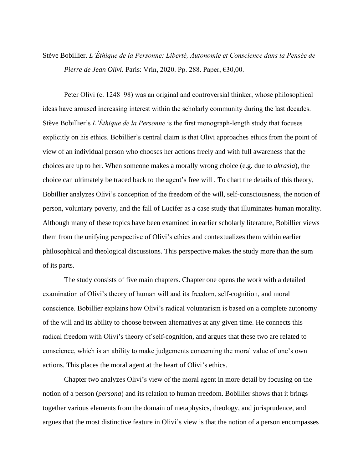Stève Bobillier. *L'Éthique de la Personne: Liberté, Autonomie et Conscience dans la Pensée de Pierre de Jean Olivi*. Paris: Vrin, 2020. Pp. 288. Paper, €30,00.

Peter Olivi (c. 1248–98) was an original and controversial thinker, whose philosophical ideas have aroused increasing interest within the scholarly community during the last decades. Stève Bobillier's *L'Éthique de la Personne* is the first monograph-length study that focuses explicitly on his ethics. Bobillier's central claim is that Olivi approaches ethics from the point of view of an individual person who chooses her actions freely and with full awareness that the choices are up to her. When someone makes a morally wrong choice (e.g. due to *akrasia*), the choice can ultimately be traced back to the agent's free will . To chart the details of this theory, Bobillier analyzes Olivi's conception of the freedom of the will, self-consciousness, the notion of person, voluntary poverty, and the fall of Lucifer as a case study that illuminates human morality. Although many of these topics have been examined in earlier scholarly literature, Bobillier views them from the unifying perspective of Olivi's ethics and contextualizes them within earlier philosophical and theological discussions. This perspective makes the study more than the sum of its parts.

The study consists of five main chapters. Chapter one opens the work with a detailed examination of Olivi's theory of human will and its freedom, self-cognition, and moral conscience. Bobillier explains how Olivi's radical voluntarism is based on a complete autonomy of the will and its ability to choose between alternatives at any given time. He connects this radical freedom with Olivi's theory of self-cognition, and argues that these two are related to conscience, which is an ability to make judgements concerning the moral value of one's own actions. This places the moral agent at the heart of Olivi's ethics.

Chapter two analyzes Olivi's view of the moral agent in more detail by focusing on the notion of a person (*persona*) and its relation to human freedom. Bobillier shows that it brings together various elements from the domain of metaphysics, theology, and jurisprudence, and argues that the most distinctive feature in Olivi's view is that the notion of a person encompasses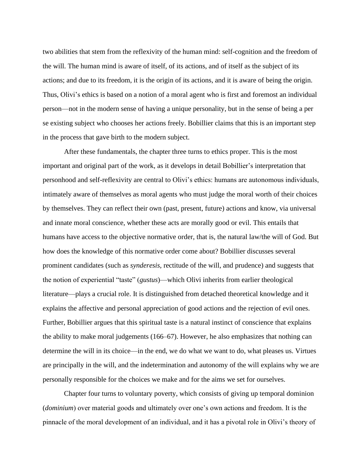two abilities that stem from the reflexivity of the human mind: self-cognition and the freedom of the will. The human mind is aware of itself, of its actions, and of itself as the subject of its actions; and due to its freedom, it is the origin of its actions, and it is aware of being the origin. Thus, Olivi's ethics is based on a notion of a moral agent who is first and foremost an individual person—not in the modern sense of having a unique personality, but in the sense of being a per se existing subject who chooses her actions freely. Bobillier claims that this is an important step in the process that gave birth to the modern subject.

After these fundamentals, the chapter three turns to ethics proper. This is the most important and original part of the work, as it develops in detail Bobillier's interpretation that personhood and self-reflexivity are central to Olivi's ethics: humans are autonomous individuals, intimately aware of themselves as moral agents who must judge the moral worth of their choices by themselves. They can reflect their own (past, present, future) actions and know, via universal and innate moral conscience, whether these acts are morally good or evil. This entails that humans have access to the objective normative order, that is, the natural law/the will of God. But how does the knowledge of this normative order come about? Bobillier discusses several prominent candidates (such as *synderesis*, rectitude of the will, and prudence) and suggests that the notion of experiential "taste" (*gustus*)—which Olivi inherits from earlier theological literature—plays a crucial role. It is distinguished from detached theoretical knowledge and it explains the affective and personal appreciation of good actions and the rejection of evil ones. Further, Bobillier argues that this spiritual taste is a natural instinct of conscience that explains the ability to make moral judgements (166–67). However, he also emphasizes that nothing can determine the will in its choice—in the end, we do what we want to do, what pleases us. Virtues are principally in the will, and the indetermination and autonomy of the will explains why we are personally responsible for the choices we make and for the aims we set for ourselves.

Chapter four turns to voluntary poverty, which consists of giving up temporal dominion (*dominium*) over material goods and ultimately over one's own actions and freedom. It is the pinnacle of the moral development of an individual, and it has a pivotal role in Olivi's theory of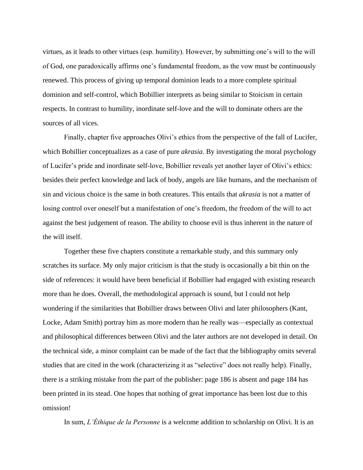virtues, as it leads to other virtues (esp. humility). However, by submitting one's will to the will of God, one paradoxically affirms one's fundamental freedom, as the vow must be continuously renewed. This process of giving up temporal dominion leads to a more complete spiritual dominion and self-control, which Bobillier interprets as being similar to Stoicism in certain respects. In contrast to humility, inordinate self-love and the will to dominate others are the sources of all vices.

Finally, chapter five approaches Olivi's ethics from the perspective of the fall of Lucifer, which Bobillier conceptualizes as a case of pure *akrasia*. By investigating the moral psychology of Lucifer's pride and inordinate self-love, Bobillier reveals yet another layer of Olivi's ethics: besides their perfect knowledge and lack of body, angels are like humans, and the mechanism of sin and vicious choice is the same in both creatures. This entails that *akrasia* is not a matter of losing control over oneself but a manifestation of one's freedom, the freedom of the will to act against the best judgement of reason. The ability to choose evil is thus inherent in the nature of the will itself.

Together these five chapters constitute a remarkable study, and this summary only scratches its surface. My only major criticism is that the study is occasionally a bit thin on the side of references: it would have been beneficial if Bobillier had engaged with existing research more than he does. Overall, the methodological approach is sound, but I could not help wondering if the similarities that Bobillier draws between Olivi and later philosophers (Kant, Locke, Adam Smith) portray him as more modern than he really was—especially as contextual and philosophical differences between Olivi and the later authors are not developed in detail. On the technical side, a minor complaint can be made of the fact that the bibliography omits several studies that are cited in the work (characterizing it as "selective" does not really help). Finally, there is a striking mistake from the part of the publisher: page 186 is absent and page 184 has been printed in its stead. One hopes that nothing of great importance has been lost due to this omission!

In sum, *L'Éthique de la Personne* is a welcome addition to scholarship on Olivi. It is an